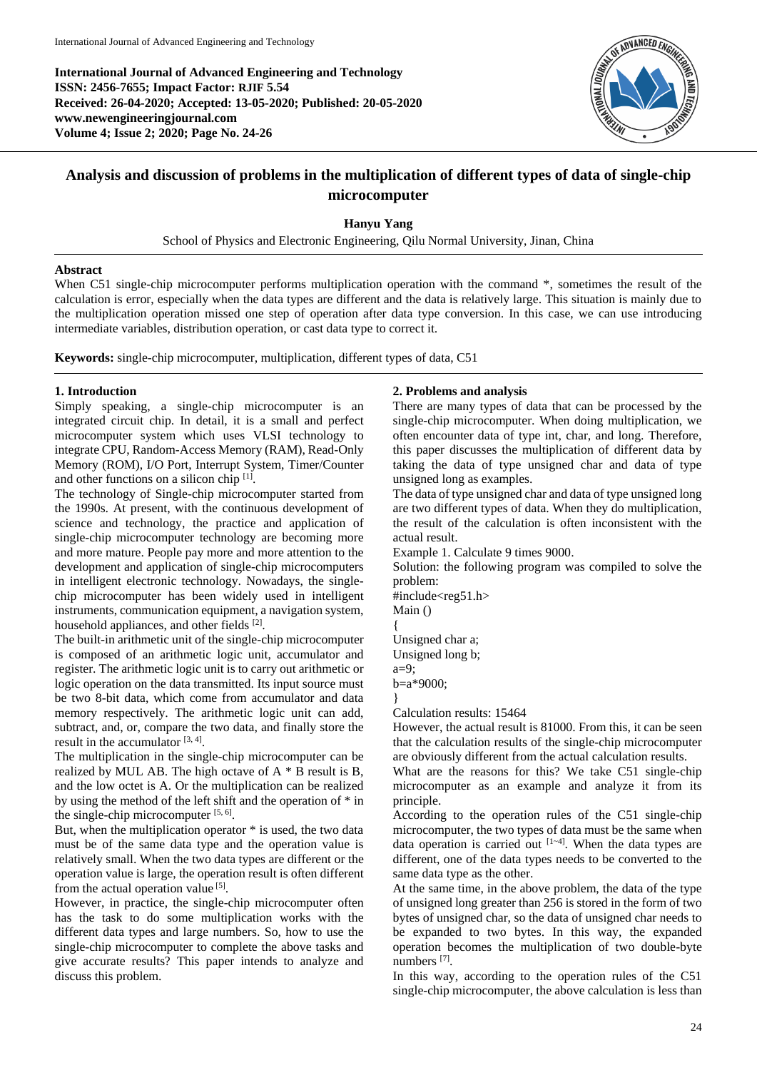**International Journal of Advanced Engineering and Technology ISSN: 2456-7655; Impact Factor: RJIF 5.54 Received: 26-04-2020; Accepted: 13-05-2020; Published: 20-05-2020 www.newengineeringjournal.com Volume 4; Issue 2; 2020; Page No. 24-26**



# **Analysis and discussion of problems in the multiplication of different types of data of single-chip microcomputer**

## **Hanyu Yang**

School of Physics and Electronic Engineering, Qilu Normal University, Jinan, China

## **Abstract**

When C51 single-chip microcomputer performs multiplication operation with the command  $*$ , sometimes the result of the calculation is error, especially when the data types are different and the data is relatively large. This situation is mainly due to the multiplication operation missed one step of operation after data type conversion. In this case, we can use introducing intermediate variables, distribution operation, or cast data type to correct it.

**Keywords:** single-chip microcomputer, multiplication, different types of data, C51

## **1. Introduction**

Simply speaking, a single-chip microcomputer is an integrated circuit chip. In detail, it is a small and perfect microcomputer system which uses VLSI technology to integrate CPU, Random-Access Memory (RAM), Read-Only Memory (ROM), I/O Port, Interrupt System, Timer/Counter and other functions on a silicon chip [1].

The technology of Single-chip microcomputer started from the 1990s. At present, with the continuous development of science and technology, the practice and application of single-chip microcomputer technology are becoming more and more mature. People pay more and more attention to the development and application of single-chip microcomputers in intelligent electronic technology. Nowadays, the singlechip microcomputer has been widely used in intelligent instruments, communication equipment, a navigation system, household appliances, and other fields [2].

The built-in arithmetic unit of the single-chip microcomputer is composed of an arithmetic logic unit, accumulator and register. The arithmetic logic unit is to carry out arithmetic or logic operation on the data transmitted. Its input source must be two 8-bit data, which come from accumulator and data memory respectively. The arithmetic logic unit can add, subtract, and, or, compare the two data, and finally store the result in the accumulator [3, 4].

The multiplication in the single-chip microcomputer can be realized by MUL AB. The high octave of A \* B result is B, and the low octet is A. Or the multiplication can be realized by using the method of the left shift and the operation of \* in the single-chip microcomputer  $[5, 6]$ .

But, when the multiplication operator  $*$  is used, the two data must be of the same data type and the operation value is relatively small. When the two data types are different or the operation value is large, the operation result is often different from the actual operation value<sup>[5]</sup>.

However, in practice, the single-chip microcomputer often has the task to do some multiplication works with the different data types and large numbers. So, how to use the single-chip microcomputer to complete the above tasks and give accurate results? This paper intends to analyze and discuss this problem.

## **2. Problems and analysis**

There are many types of data that can be processed by the single-chip microcomputer. When doing multiplication, we often encounter data of type int, char, and long. Therefore, this paper discusses the multiplication of different data by taking the data of type unsigned char and data of type unsigned long as examples.

The data of type unsigned char and data of type unsigned long are two different types of data. When they do multiplication, the result of the calculation is often inconsistent with the actual result.

Example 1. Calculate 9 times 9000.

Solution: the following program was compiled to solve the problem:

#include<reg51.h>

Main ()

{ Unsigned char a; Unsigned long b;

a=9;

b=a\*9000;

}

Calculation results: 15464

However, the actual result is 81000. From this, it can be seen that the calculation results of the single-chip microcomputer are obviously different from the actual calculation results.

What are the reasons for this? We take C51 single-chip microcomputer as an example and analyze it from its principle.

According to the operation rules of the C51 single-chip microcomputer, the two types of data must be the same when data operation is carried out  $[1-4]$ . When the data types are different, one of the data types needs to be converted to the same data type as the other.

At the same time, in the above problem, the data of the type of unsigned long greater than 256 is stored in the form of two bytes of unsigned char, so the data of unsigned char needs to be expanded to two bytes. In this way, the expanded operation becomes the multiplication of two double-byte numbers<sup>[7]</sup>.

In this way, according to the operation rules of the C51 single-chip microcomputer, the above calculation is less than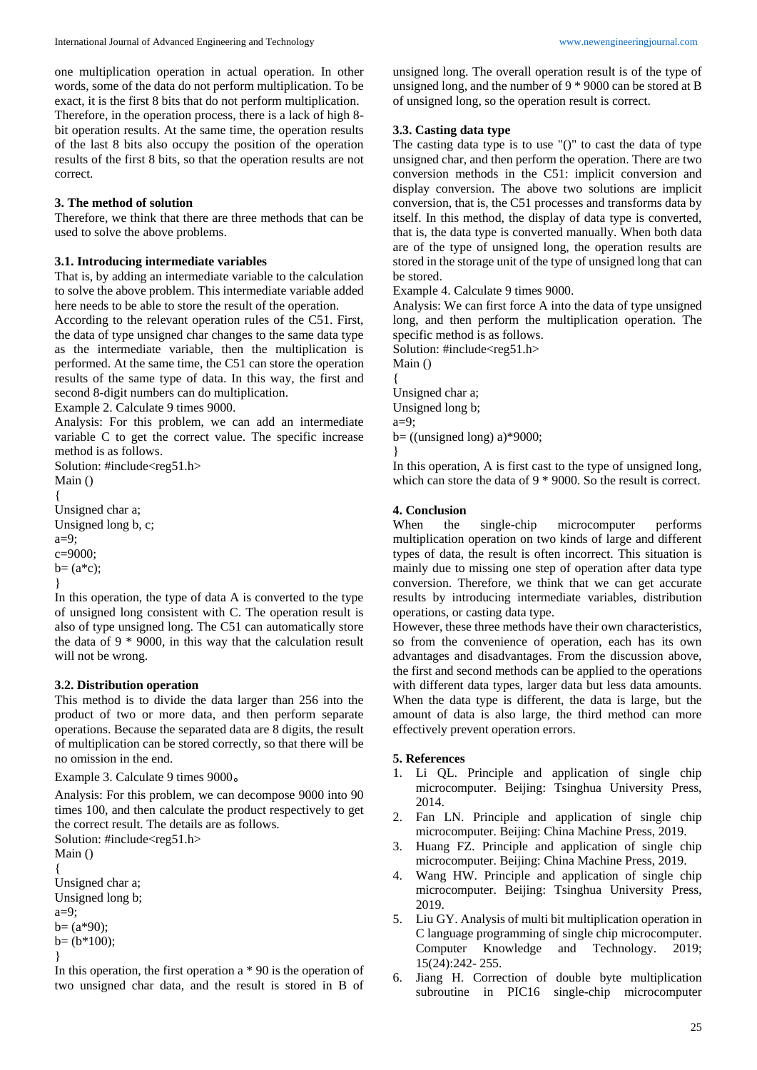one multiplication operation in actual operation. In other words, some of the data do not perform multiplication. To be exact, it is the first 8 bits that do not perform multiplication. Therefore, in the operation process, there is a lack of high 8 bit operation results. At the same time, the operation results of the last 8 bits also occupy the position of the operation results of the first 8 bits, so that the operation results are not correct.

### **3. The method of solution**

Therefore, we think that there are three methods that can be used to solve the above problems.

#### **3.1. Introducing intermediate variables**

That is, by adding an intermediate variable to the calculation to solve the above problem. This intermediate variable added here needs to be able to store the result of the operation.

According to the relevant operation rules of the C51. First, the data of type unsigned char changes to the same data type as the intermediate variable, then the multiplication is performed. At the same time, the C51 can store the operation results of the same type of data. In this way, the first and second 8-digit numbers can do multiplication.

Example 2. Calculate 9 times 9000.

Analysis: For this problem, we can add an intermediate variable C to get the correct value. The specific increase method is as follows.

```
Solution: #include<reg51.h>
Main ()
{
Unsigned char a;
Unsigned long b, c;
a=9;
c=9000;
b = (a * c);
}
```
In this operation, the type of data A is converted to the type of unsigned long consistent with C. The operation result is also of type unsigned long. The C51 can automatically store the data of 9 \* 9000, in this way that the calculation result will not be wrong.

#### **3.2. Distribution operation**

This method is to divide the data larger than 256 into the product of two or more data, and then perform separate operations. Because the separated data are 8 digits, the result of multiplication can be stored correctly, so that there will be no omission in the end.

Example 3. Calculate 9 times 9000。

Analysis: For this problem, we can decompose 9000 into 90 times 100, and then calculate the product respectively to get the correct result. The details are as follows.

Solution: #include<reg51.h> Main () {

Unsigned char a; Unsigned long b; a=9;  $b = (a*90)$ ;  $b= (b*100)$ ;

}

In this operation, the first operation a \* 90 is the operation of two unsigned char data, and the result is stored in B of unsigned long. The overall operation result is of the type of unsigned long, and the number of 9 \* 9000 can be stored at B of unsigned long, so the operation result is correct.

#### **3.3. Casting data type**

The casting data type is to use "()" to cast the data of type unsigned char, and then perform the operation. There are two conversion methods in the C51: implicit conversion and display conversion. The above two solutions are implicit conversion, that is, the C51 processes and transforms data by itself. In this method, the display of data type is converted, that is, the data type is converted manually. When both data are of the type of unsigned long, the operation results are stored in the storage unit of the type of unsigned long that can be stored.

Example 4. Calculate 9 times 9000.

Analysis: We can first force A into the data of type unsigned long, and then perform the multiplication operation. The specific method is as follows.

Solution: #include<reg51.h>

Main ()

{ Unsigned char a;

Unsigned long b;

a=9;

b= ((unsigned long) a)\*9000;

}

In this operation, A is first cast to the type of unsigned long, which can store the data of 9  $*$  9000. So the result is correct.

#### **4. Conclusion**

When the single-chip microcomputer performs multiplication operation on two kinds of large and different types of data, the result is often incorrect. This situation is mainly due to missing one step of operation after data type conversion. Therefore, we think that we can get accurate results by introducing intermediate variables, distribution operations, or casting data type.

However, these three methods have their own characteristics, so from the convenience of operation, each has its own advantages and disadvantages. From the discussion above, the first and second methods can be applied to the operations with different data types, larger data but less data amounts. When the data type is different, the data is large, but the amount of data is also large, the third method can more effectively prevent operation errors.

#### **5. References**

- 1. Li QL. Principle and application of single chip microcomputer. Beijing: Tsinghua University Press, 2014.
- 2. Fan LN. Principle and application of single chip microcomputer. Beijing: China Machine Press, 2019.
- 3. Huang FZ. Principle and application of single chip microcomputer. Beijing: China Machine Press, 2019.
- 4. Wang HW. Principle and application of single chip microcomputer. Beijing: Tsinghua University Press, 2019.
- 5. Liu GY. Analysis of multi bit multiplication operation in C language programming of single chip microcomputer. Computer Knowledge and Technology. 2019; 15(24):242- 255.
- 6. Jiang H. Correction of double byte multiplication subroutine in PIC16 single-chip microcomputer